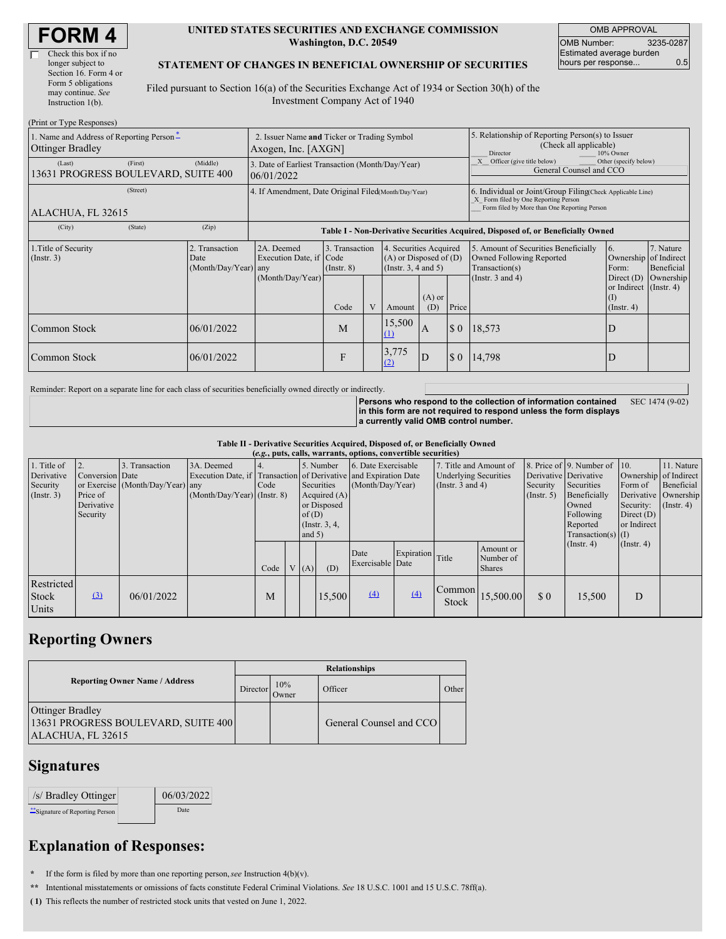| <b>FORM4</b> |
|--------------|
|--------------|

| Check this box if no  |
|-----------------------|
| longer subject to     |
| Section 16. Form 4 or |
| Form 5 obligations    |
| may continue. See     |
| Instruction 1(b).     |
|                       |

#### **UNITED STATES SECURITIES AND EXCHANGE COMMISSION Washington, D.C. 20549**

OMB APPROVAL OMB Number: 3235-0287 Estimated average burden hours per response... 0.5

#### **STATEMENT OF CHANGES IN BENEFICIAL OWNERSHIP OF SECURITIES**

Filed pursuant to Section 16(a) of the Securities Exchange Act of 1934 or Section 30(h) of the Investment Company Act of 1940

| (Print or Type Responses)                                           |                                                                      |                                                                                  |                                   |  |                                                                              |                 |                                                                                                     |                                                                                                                                                    |                                                              |                         |
|---------------------------------------------------------------------|----------------------------------------------------------------------|----------------------------------------------------------------------------------|-----------------------------------|--|------------------------------------------------------------------------------|-----------------|-----------------------------------------------------------------------------------------------------|----------------------------------------------------------------------------------------------------------------------------------------------------|--------------------------------------------------------------|-------------------------|
| 1. Name and Address of Reporting Person-<br><b>Ottinger Bradley</b> | 2. Issuer Name and Ticker or Trading Symbol<br>Axogen, Inc. $[AXGN]$ |                                                                                  |                                   |  |                                                                              |                 | 5. Relationship of Reporting Person(s) to Issuer<br>(Check all applicable)<br>Director<br>10% Owner |                                                                                                                                                    |                                                              |                         |
| (First)<br>(Last)<br>13631 PROGRESS BOULEVARD, SUITE 400            | (Middle)                                                             | 3. Date of Earliest Transaction (Month/Day/Year)<br>06/01/2022                   |                                   |  |                                                                              |                 |                                                                                                     | Officer (give title below)<br>Other (specify below)<br>General Counsel and CCO                                                                     |                                                              |                         |
| (Street)<br>ALACHUA, FL 32615                                       |                                                                      | 4. If Amendment, Date Original Filed Month/Day/Year)                             |                                   |  |                                                                              |                 |                                                                                                     | 6. Individual or Joint/Group Filing Check Applicable Line)<br>X Form filed by One Reporting Person<br>Form filed by More than One Reporting Person |                                                              |                         |
| (State)<br>(City)                                                   | (Zip)                                                                | Table I - Non-Derivative Securities Acquired, Disposed of, or Beneficially Owned |                                   |  |                                                                              |                 |                                                                                                     |                                                                                                                                                    |                                                              |                         |
| 1. Title of Security<br>(Insert. 3)                                 | 2. Transaction<br>Date<br>(Month/Day/Year) any                       | 2A. Deemed<br>Execution Date, if Code                                            | 3. Transaction<br>$($ Instr. $8)$ |  | 4. Securities Acquired<br>$(A)$ or Disposed of $(D)$<br>(Insert. 3, 4 and 5) |                 |                                                                                                     | 5. Amount of Securities Beneficially<br>Owned Following Reported<br>Transaction(s)                                                                 | 16.<br>Ownership of Indirect<br>Form:                        | 7. Nature<br>Beneficial |
|                                                                     |                                                                      | (Month/Day/Year)                                                                 | Code                              |  | Amount                                                                       | $(A)$ or<br>(D) | Price                                                                                               | (Instr. $3$ and $4$ )                                                                                                                              | Direct $(D)$<br>or Indirect (Instr. 4)<br>(1)<br>(Insert. 4) | Ownership               |
| <b>Common Stock</b>                                                 | 06/01/2022                                                           |                                                                                  | M                                 |  | 15,500<br>$\Omega$                                                           | I A             | \$0                                                                                                 | 18,573                                                                                                                                             |                                                              |                         |
| <b>Common Stock</b>                                                 | 06/01/2022                                                           |                                                                                  | F                                 |  | 3,775<br>(2)                                                                 | D               | $\boldsymbol{\mathsf{S}}$ 0                                                                         | 14,798                                                                                                                                             |                                                              |                         |

Reminder: Report on a separate line for each class of securities beneficially owned directly or indirectly.

**Persons who respond to the collection of information contained in this form are not required to respond unless the form displays a currently valid OMB control number.** SEC 1474 (9-02)

**Table II - Derivative Securities Acquired, Disposed of, or Beneficially Owned**

| (e.g., puts, calls, warrants, options, convertible securities) |                                                              |                                                    |                                             |      |  |                                                                                                                                                                                                                    |        |                          |                                                                            |                 |                                                  |                                                                                                                      |                                                                              |                                                                     |  |
|----------------------------------------------------------------|--------------------------------------------------------------|----------------------------------------------------|---------------------------------------------|------|--|--------------------------------------------------------------------------------------------------------------------------------------------------------------------------------------------------------------------|--------|--------------------------|----------------------------------------------------------------------------|-----------------|--------------------------------------------------|----------------------------------------------------------------------------------------------------------------------|------------------------------------------------------------------------------|---------------------------------------------------------------------|--|
| 1. Title of<br>Derivative<br>Security<br>(Insert. 3)           | 12.<br>Conversion Date<br>Price of<br>Derivative<br>Security | 3. Transaction<br>or Exercise (Month/Day/Year) any | 3A. Deemed<br>$(Month/Day/Year)$ (Instr. 8) | Code |  | 6. Date Exercisable<br>5. Number<br>Execution Date, if Transaction of Derivative and Expiration Date<br>Securities<br>(Month/Day/Year)<br>Acquired $(A)$<br>or Disposed<br>of $(D)$<br>(Instr. $3, 4,$<br>and $5)$ |        |                          | 7. Title and Amount of<br><b>Underlying Securities</b><br>(Instr. 3 and 4) |                 | Derivative Derivative<br>Security<br>(Insert. 5) | 8. Price of 9. Number of 10.<br>Securities<br>Beneficially<br>Owned<br>Following<br>Reported<br>$Transaction(s)$ (I) | Ownership of Indirect<br>Form of<br>Security:<br>Direct $(D)$<br>or Indirect | 11. Nature<br>Beneficial<br>Derivative   Ownership<br>$($ Instr. 4) |  |
|                                                                |                                                              |                                                    |                                             | Code |  | V(A)                                                                                                                                                                                                               | (D)    | Date<br>Exercisable Date | Expiration                                                                 | Title           | Amount or<br>Number of<br><b>Shares</b>          |                                                                                                                      | (Insert. 4)                                                                  | $($ Instr. 4 $)$                                                    |  |
| Restricted<br>Stock<br>Units                                   | $\Omega$                                                     | 06/01/2022                                         |                                             | M    |  |                                                                                                                                                                                                                    | 15,500 | (4)                      | (4)                                                                        | Common<br>Stock | 15,500.00                                        | \$0                                                                                                                  | 15,500                                                                       | D                                                                   |  |

## **Reporting Owners**

|                                                                                     | <b>Relationships</b> |              |                         |       |  |  |  |  |
|-------------------------------------------------------------------------------------|----------------------|--------------|-------------------------|-------|--|--|--|--|
| <b>Reporting Owner Name / Address</b>                                               | Director             | 10%<br>Owner | Officer                 | Other |  |  |  |  |
| <b>Ottinger Bradley</b><br>13631 PROGRESS BOULEVARD, SUITE 400<br>ALACHUA, FL 32615 |                      |              | General Counsel and CCO |       |  |  |  |  |

### **Signatures**

| /s/ Bradley Ottinger             | 06/03/2022 |
|----------------------------------|------------|
| ** Signature of Reporting Person | Date       |

# **Explanation of Responses:**

**\*** If the form is filed by more than one reporting person,*see* Instruction 4(b)(v).

**\*\*** Intentional misstatements or omissions of facts constitute Federal Criminal Violations. *See* 18 U.S.C. 1001 and 15 U.S.C. 78ff(a).

**( 1)** This reflects the number of restricted stock units that vested on June 1, 2022.